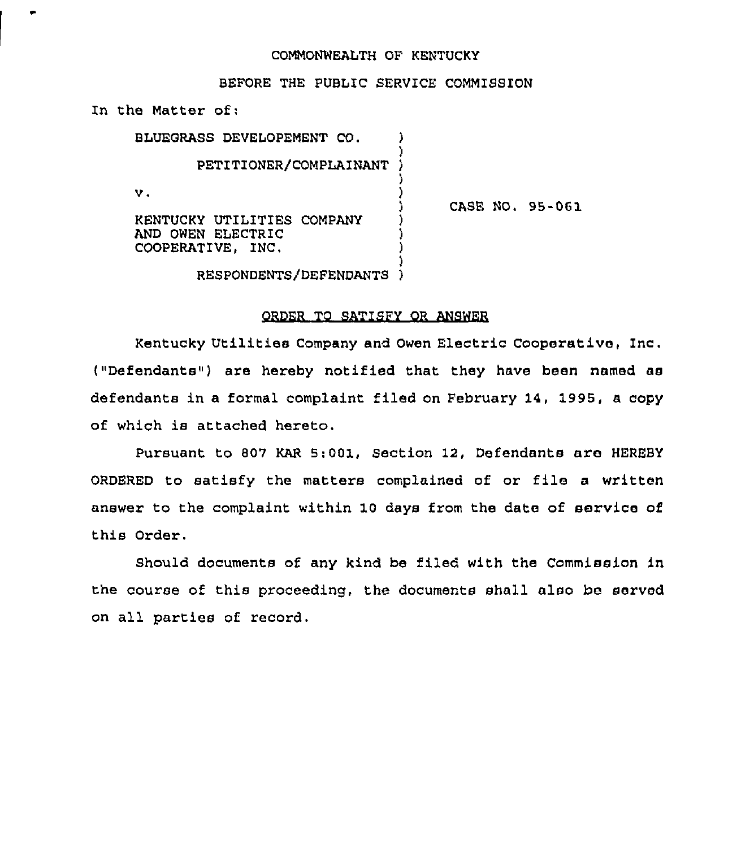#### COMMONWEALTH OF KENTUCKY

### BEFORE THE PUBLIC SERVICE COMMISSION

In the Matter of:

AND OWEN ELECTRIC

| BLUEGRASS DEVELOPEMENT CO. |                          |  |        |  |
|----------------------------|--------------------------|--|--------|--|
|                            | PETITIONER/COMPLAINANT ) |  |        |  |
| v.                         |                          |  |        |  |
| KENTUCKY UTILITIES COMPANY |                          |  | CASE I |  |

NO. 95-061

COOPERATIVE, INC.

#### RESPONDENTS/DEFENDANT )

### ORDER TO SATISFY QR ANSWER

) ) )

Kentucky Utilities Company and Owen Electxic Cooperative, Inc. ("Defendants") are hereby notified that they have been named as defendants in a formal complaint filed on February 14, 1995, a copy of which is attached hereto.

Pursuant to 807 KAR 5:001, Section 12, Defendants are HEREBY ORDERED to satisfy the matters complained of or file a written answer to the complaint within 10 days from the date of service of this Order.

Should documents of any kind be filed with the Commission in the course of this proceeding, the documents shall also be served on all parties of record.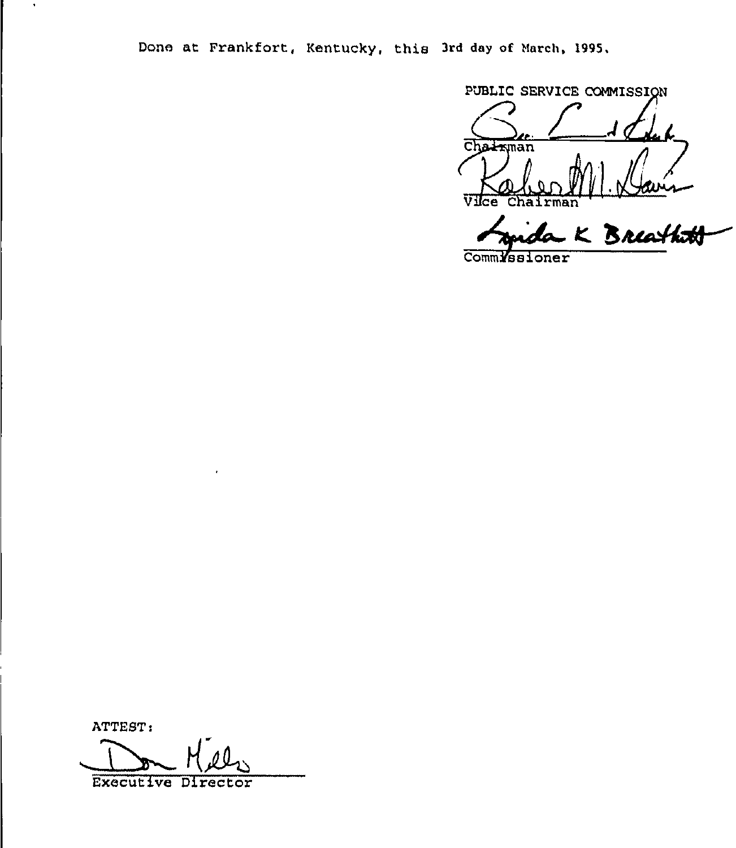Done at Frankfort, Kentucky, this 3rd day of March, 1995.

PUBLIC SERVICE COMMISSION Chairman Vice Chairman

Irman<br>La K Breathath

CommMasioner

ATTEST:

 $\bullet$ 

**Executive Director**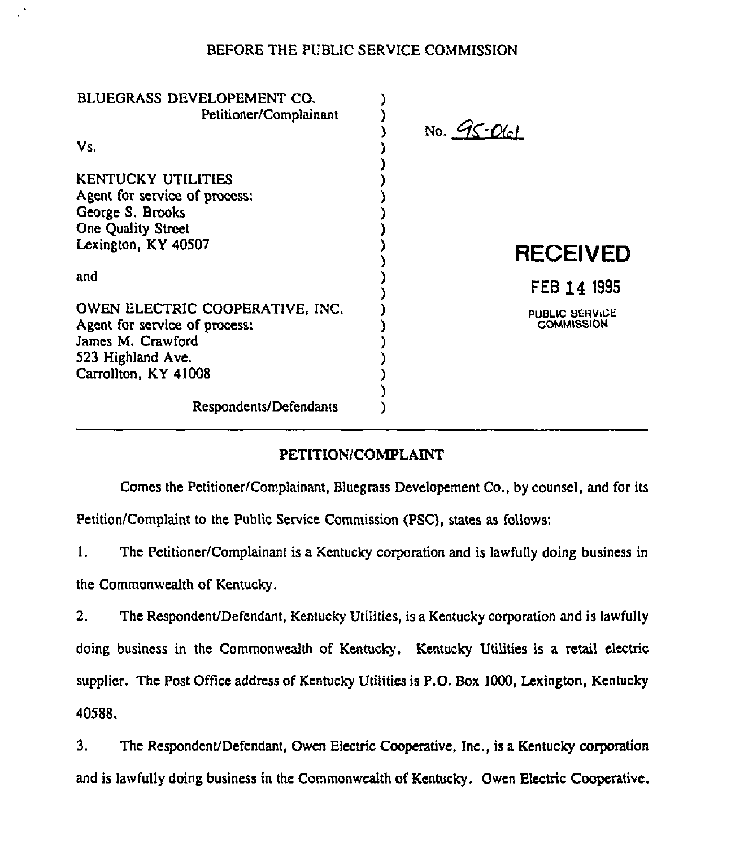## BEFORE THE PUBLIC SERVICE COMMISSION

| BLUEGRASS DEVELOPEMENT CO.<br>Petitioner/Complainant | No. $95-061$          |
|------------------------------------------------------|-----------------------|
| Vs.                                                  |                       |
| <b>KENTUCKY UTILITIES</b>                            |                       |
| Agent for service of process:                        |                       |
| George S. Brooks                                     |                       |
| <b>One Quality Street</b>                            |                       |
| Lexington, KY 40507                                  | <b>RECEIVED</b>       |
| and                                                  | FEB 14 1995           |
| OWEN ELECTRIC COOPERATIVE, INC.                      | <b>PUBLIC SERVICE</b> |
| Agent for service of process:                        | <b>COMMISSION</b>     |
| James M. Crawford                                    |                       |
| 523 Highland Ave.                                    |                       |
| Carrollton, KY 41008                                 |                       |
|                                                      |                       |
| Respondents/Defendants                               |                       |

# PETITION/COMPLAINT

Comes the Petitioner/Complainant, Bluegrass Developement Co., by counsel, and for its

Petition/Complaint to the Public Service Commission (PSC), states as follows:

1. The Petitioner/Complainant is a Kentucky corporation and is lawfully doing business in

the Commonwealth of Kentucky.

2. The Respondent/Defendant, Kentucky Utilities, is a Kentucky corporation and is lawfully doing business in the Commonwealth of Kentucky, Kentucky Utilities is a retail electric supplier. The Post Office address of Kentucky Utilities is P.O. Box 1000, Lexington, Kentucky 40588.

3. The Respondent/Defendant, Owen Electric Cooperative, Inc., is a Kentucky corporation and is lawfully doing business in the Commonwealth of Kentucky. Owen Electric Cooperative,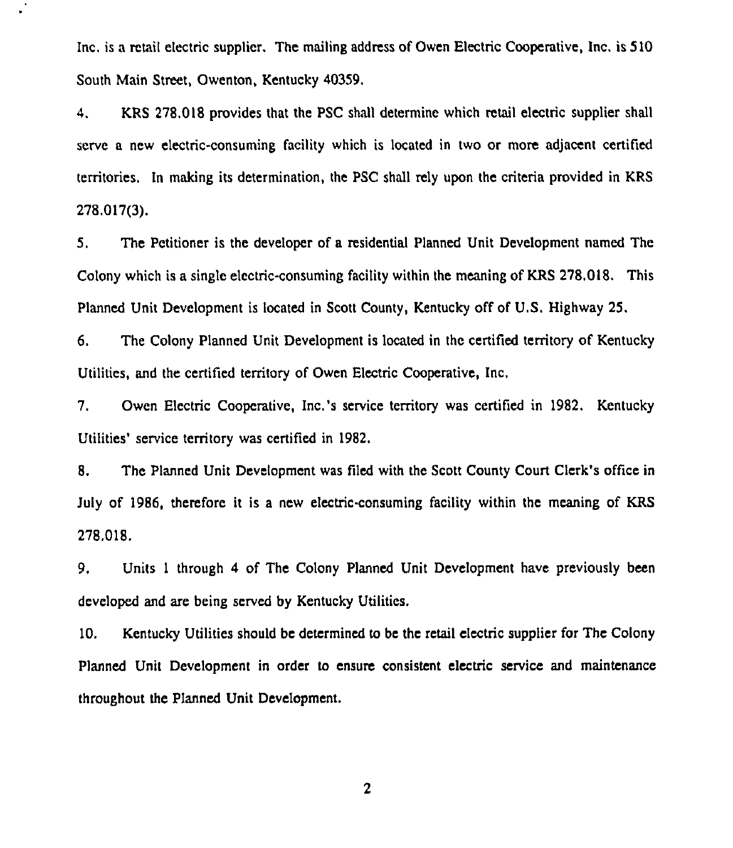Inc, is a retail electric supplier. The mailing address of Owen Electric Cooperative, Inc. is 5 10 South Main Street, Owenton, Kentucky 40359.

4. KRS 278.018 provides that the PSC shall determine which retail electric supplier shall serve a new electric-consuming facility which is located in two or more adjacent certified territories. In making its determination, the PSC shall rely upon the criteria provided in KRS 278,017(3).

5. The Petitioner is the developer of a residential Planned Unit Development named The Colony which is a single electric-consuming facility within the meaning of KRS 278,018. This Planned Unit Development is located in Scott County, Kentucky off of U.S. Highway 25.

6. The Colony Planned Unit Development is located in the certified territory of Kentucky Utilities, and the certified temtory of Owen Electric Cooperative, Inc,

7. Owen Electric Cooperative, Inc.'s service territory was certified in 1982. Kentucky Utilities' service territory was certified in 1982.

8. The Planned Unit Development was filed with the Scott County Court Clerk's office in July of 1986, therefore it is a new electric-consuming facility within the meaning of KRS 278,018.

9, Units <sup>1</sup> through 4 of The Colony Planned Unit Development have previously been developed and are being served by Kentucky Utilities.

10. Kentucky Utilities should be determined to be the retail electric supplier for The Colony Planned Unit Development in order to ensure consistent electric service and maintenance throughout the Planned Unit Development.

 $\overline{2}$